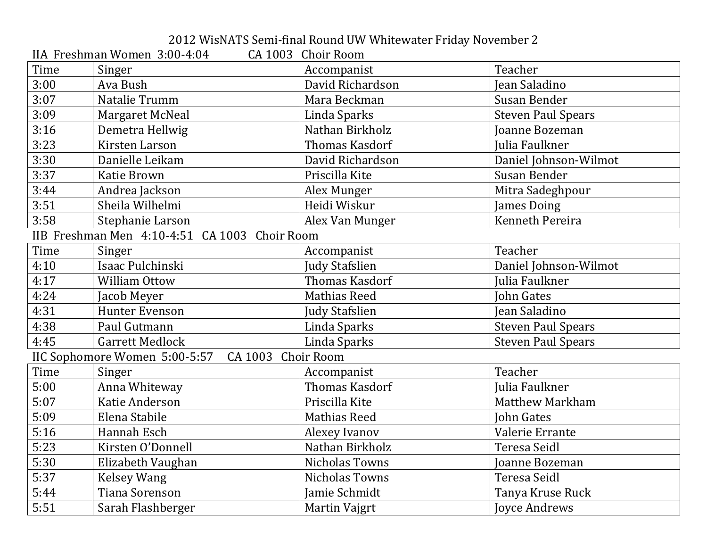| 2012 WisNATS Semi-final Round UW Whitewater Friday November 2 |  |
|---------------------------------------------------------------|--|
|---------------------------------------------------------------|--|

| IIA Freshman Women 3:00-4:04<br>CA 1003 Choir Room |                                                     |                       |                           |
|----------------------------------------------------|-----------------------------------------------------|-----------------------|---------------------------|
| Time                                               | Singer                                              | Accompanist           | Teacher                   |
| 3:00                                               | Ava Bush                                            | David Richardson      | Jean Saladino             |
| 3:07                                               | Natalie Trumm                                       | Mara Beckman          | Susan Bender              |
| 3:09                                               | Margaret McNeal                                     | Linda Sparks          | <b>Steven Paul Spears</b> |
| 3:16                                               | Demetra Hellwig                                     | Nathan Birkholz       | Joanne Bozeman            |
| 3:23                                               | Kirsten Larson                                      | <b>Thomas Kasdorf</b> | Julia Faulkner            |
| 3:30                                               | Danielle Leikam                                     | David Richardson      | Daniel Johnson-Wilmot     |
| 3:37                                               | Katie Brown                                         | Priscilla Kite        | Susan Bender              |
| 3:44                                               | Andrea Jackson                                      | Alex Munger           | Mitra Sadeghpour          |
| 3:51                                               | Sheila Wilhelmi                                     | Heidi Wiskur          | James Doing               |
| 3:58                                               | Stephanie Larson                                    | Alex Van Munger       | Kenneth Pereira           |
| IIB Freshman Men 4:10-4:51 CA 1003 Choir Room      |                                                     |                       |                           |
| Time                                               | Singer                                              | Accompanist           | Teacher                   |
| 4:10                                               | Isaac Pulchinski                                    | <b>Judy Stafslien</b> | Daniel Johnson-Wilmot     |
| 4:17                                               | <b>William Ottow</b>                                | <b>Thomas Kasdorf</b> | Julia Faulkner            |
| 4:24                                               | Jacob Meyer                                         | Mathias Reed          | John Gates                |
| 4:31                                               | Hunter Evenson                                      | <b>Judy Stafslien</b> | Jean Saladino             |
| 4:38                                               | Paul Gutmann                                        | Linda Sparks          | <b>Steven Paul Spears</b> |
| 4:45                                               | <b>Garrett Medlock</b>                              | Linda Sparks          | <b>Steven Paul Spears</b> |
|                                                    | IIC Sophomore Women 5:00-5:57<br>CA 1003 Choir Room |                       |                           |
| Time                                               | Singer                                              | Accompanist           | Teacher                   |
| 5:00                                               | Anna Whiteway                                       | Thomas Kasdorf        | Julia Faulkner            |
| 5:07                                               | Katie Anderson                                      | Priscilla Kite        | <b>Matthew Markham</b>    |
| 5:09                                               | Elena Stabile                                       | Mathias Reed          | John Gates                |
| 5:16                                               | Hannah Esch                                         | Alexey Ivanov         | Valerie Errante           |
| 5:23                                               | Kirsten O'Donnell                                   | Nathan Birkholz       | Teresa Seidl              |
| 5:30                                               | Elizabeth Vaughan                                   | Nicholas Towns        | Joanne Bozeman            |
| 5:37                                               | Kelsey Wang                                         | Nicholas Towns        | Teresa Seidl              |
| 5:44                                               | Tiana Sorenson                                      | Jamie Schmidt         | Tanya Kruse Ruck          |
| 5:51                                               | Sarah Flashberger                                   | Martin Vajgrt         | Joyce Andrews             |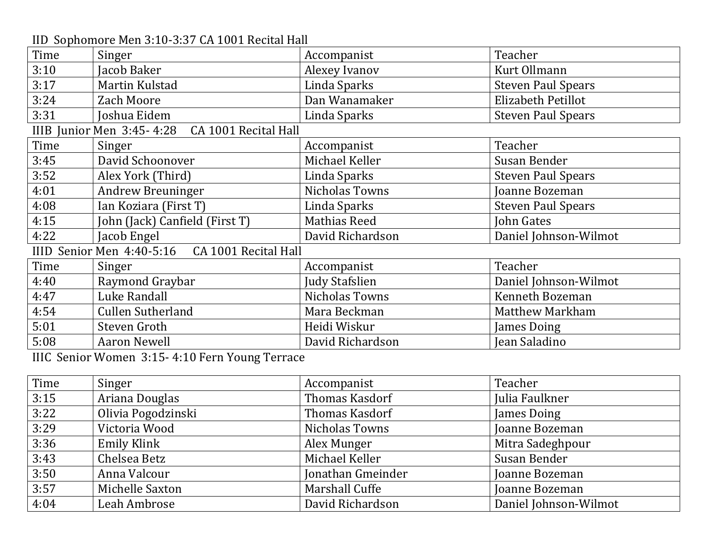IID Sophomore Men 3:10-3:37 CA 1001 Recital Hall

| Time                                              | Singer                                         | Accompanist           | Teacher                   |
|---------------------------------------------------|------------------------------------------------|-----------------------|---------------------------|
| 3:10                                              | Jacob Baker                                    | Alexey Ivanov         | Kurt Ollmann              |
| 3:17                                              | Martin Kulstad                                 | Linda Sparks          | <b>Steven Paul Spears</b> |
| 3:24                                              | <b>Zach Moore</b>                              | Dan Wanamaker         | Elizabeth Petillot        |
| 3:31                                              | Joshua Eidem                                   | Linda Sparks          | <b>Steven Paul Spears</b> |
|                                                   | IIIB Junior Men 3:45-4:28 CA 1001 Recital Hall |                       |                           |
| Time                                              | Singer                                         | Accompanist           | Teacher                   |
| 3:45                                              | David Schoonover                               | Michael Keller        | Susan Bender              |
| 3:52                                              | Alex York (Third)                              | Linda Sparks          | <b>Steven Paul Spears</b> |
| 4:01                                              | <b>Andrew Breuninger</b>                       | Nicholas Towns        | Joanne Bozeman            |
| 4:08                                              | Ian Koziara (First T)                          | Linda Sparks          | <b>Steven Paul Spears</b> |
| 4:15                                              | John (Jack) Canfield (First T)                 | Mathias Reed          | <b>John Gates</b>         |
| 4:22                                              | Jacob Engel                                    | David Richardson      | Daniel Johnson-Wilmot     |
| IIID Senior Men 4:40-5:16<br>CA 1001 Recital Hall |                                                |                       |                           |
| Time                                              | Singer                                         | Accompanist           | Teacher                   |
| 4:40                                              | Raymond Graybar                                | <b>Judy Stafslien</b> | Daniel Johnson-Wilmot     |
| 4:47                                              | Luke Randall                                   | Nicholas Towns        | Kenneth Bozeman           |
| 4:54                                              | <b>Cullen Sutherland</b>                       | Mara Beckman          | <b>Matthew Markham</b>    |
| 5:01                                              | Steven Groth                                   | Heidi Wiskur          | James Doing               |
| 5:08                                              | <b>Aaron Newell</b>                            | David Richardson      | Jean Saladino             |

IIIC Senior Women 3:15- 4:10 Fern Young Terrace

| Time | Singer             | Accompanist       | Teacher               |
|------|--------------------|-------------------|-----------------------|
| 3:15 | Ariana Douglas     | Thomas Kasdorf    | Julia Faulkner        |
| 3:22 | Olivia Pogodzinski | Thomas Kasdorf    | James Doing           |
| 3:29 | Victoria Wood      | Nicholas Towns    | Joanne Bozeman        |
| 3:36 | Emily Klink        | Alex Munger       | Mitra Sadeghpour      |
| 3:43 | Chelsea Betz       | Michael Keller    | Susan Bender          |
| 3:50 | Anna Valcour       | Jonathan Gmeinder | Joanne Bozeman        |
| 3:57 | Michelle Saxton    | Marshall Cuffe    | Joanne Bozeman        |
| 4:04 | Leah Ambrose       | David Richardson  | Daniel Johnson-Wilmot |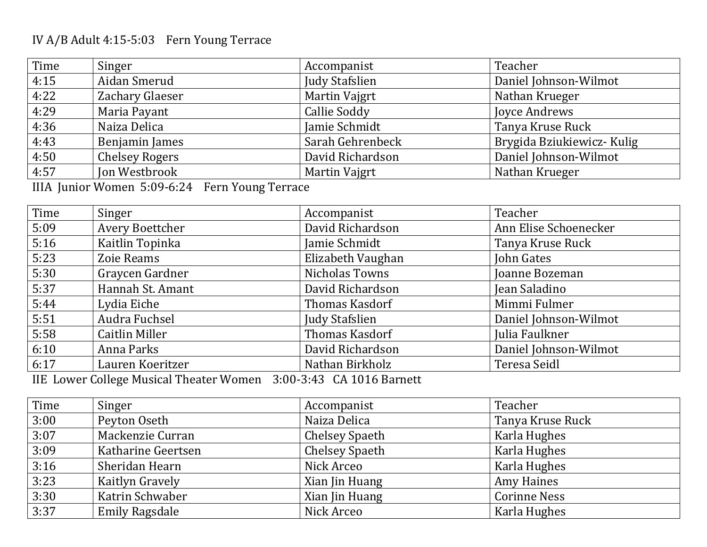## IV A/B Adult 4:15-5:03 Fern Young Terrace

| Time                                                                                                                                                                                                                                                                                                                                                                                                   | Singer                | Accompanist           | Teacher                    |
|--------------------------------------------------------------------------------------------------------------------------------------------------------------------------------------------------------------------------------------------------------------------------------------------------------------------------------------------------------------------------------------------------------|-----------------------|-----------------------|----------------------------|
| 4:15                                                                                                                                                                                                                                                                                                                                                                                                   | Aidan Smerud          | <b>Judy Stafslien</b> | Daniel Johnson-Wilmot      |
| 4:22                                                                                                                                                                                                                                                                                                                                                                                                   | Zachary Glaeser       | <b>Martin Vajgrt</b>  | Nathan Krueger             |
| 4:29                                                                                                                                                                                                                                                                                                                                                                                                   | Maria Payant          | Callie Soddy          | Joyce Andrews              |
| 4:36                                                                                                                                                                                                                                                                                                                                                                                                   | Naiza Delica          | Jamie Schmidt         | Tanya Kruse Ruck           |
| 4:43                                                                                                                                                                                                                                                                                                                                                                                                   | Benjamin James        | Sarah Gehrenbeck      | Brygida Bziukiewicz- Kulig |
| 4:50                                                                                                                                                                                                                                                                                                                                                                                                   | <b>Chelsey Rogers</b> | David Richardson      | Daniel Johnson-Wilmot      |
| 4:57                                                                                                                                                                                                                                                                                                                                                                                                   | Jon Westbrook         | Martin Vajgrt         | Nathan Krueger             |
| $\mathbf{v}$ $\mathbf{v}$ $\mathbf{v}$ $\mathbf{v}$<br>$\mathbf{v}$ and $\mathbf{v}$ and $\mathbf{v}$ and $\mathbf{v}$ and $\mathbf{v}$ and $\mathbf{v}$ and $\mathbf{v}$ and $\mathbf{v}$ and $\mathbf{v}$ and $\mathbf{v}$ and $\mathbf{v}$ and $\mathbf{v}$ and $\mathbf{v}$ and $\mathbf{v}$ and $\mathbf{v}$ and $\mathbf{v}$ and $\mathbf{v}$ and<br>$\equiv$ $\sim$ $\sim$ $\sim$ $\sim$ $\sim$ |                       |                       |                            |

IIIA Junior Women 5:09-6:24 Fern Young Terrace

| Time                                                                                                             | Singer                 | Accompanist           | Teacher               |
|------------------------------------------------------------------------------------------------------------------|------------------------|-----------------------|-----------------------|
| 5:09                                                                                                             | <b>Avery Boettcher</b> | David Richardson      | Ann Elise Schoenecker |
| 5:16                                                                                                             | Kaitlin Topinka        | Jamie Schmidt         | Tanya Kruse Ruck      |
| 5:23                                                                                                             | Zoie Reams             | Elizabeth Vaughan     | John Gates            |
| 5:30                                                                                                             | Graycen Gardner        | Nicholas Towns        | Joanne Bozeman        |
| 5:37                                                                                                             | Hannah St. Amant       | David Richardson      | Jean Saladino         |
| 5:44                                                                                                             | Lydia Eiche            | <b>Thomas Kasdorf</b> | Mimmi Fulmer          |
| 5:51                                                                                                             | Audra Fuchsel          | <b>Judy Stafslien</b> | Daniel Johnson-Wilmot |
| 5:58                                                                                                             | <b>Caitlin Miller</b>  | <b>Thomas Kasdorf</b> | Julia Faulkner        |
| 6:10                                                                                                             | Anna Parks             | David Richardson      | Daniel Johnson-Wilmot |
| 6:17                                                                                                             | Lauren Koeritzer       | Nathan Birkholz       | Teresa Seidl          |
| $\alpha$ if it is a state of $\alpha$<br>$\mathbf{r}$<br>$\sim$ $\sim$ $\sim$ $\sim$ $\sim$ $\sim$ $\sim$ $\sim$ |                        |                       |                       |

IIE Lower College Musical Theater Women 3:00-3:43 CA 1016 Barnett

| Time | Singer                | Accompanist           | Teacher             |
|------|-----------------------|-----------------------|---------------------|
| 3:00 | Peyton Oseth          | Naiza Delica          | Tanya Kruse Ruck    |
| 3:07 | Mackenzie Curran      | Chelsey Spaeth        | Karla Hughes        |
| 3:09 | Katharine Geertsen    | <b>Chelsey Spaeth</b> | Karla Hughes        |
| 3:16 | Sheridan Hearn        | Nick Arceo            | Karla Hughes        |
| 3:23 | Kaitlyn Gravely       | Xian Jin Huang        | Amy Haines          |
| 3:30 | Katrin Schwaber       | Xian Jin Huang        | <b>Corinne Ness</b> |
| 3:37 | <b>Emily Ragsdale</b> | Nick Arceo            | Karla Hughes        |